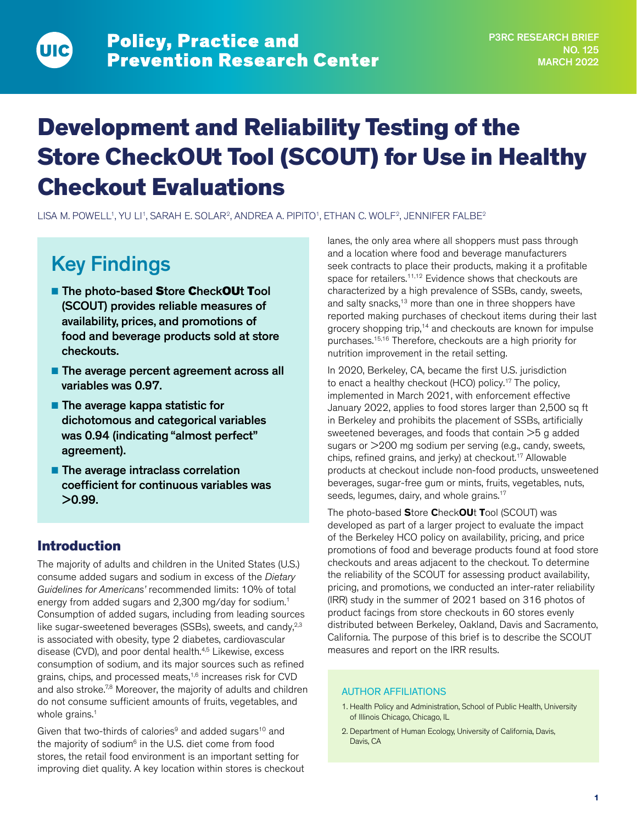# Development and Reliability Testing of the Store CheckOUt Tool (SCOUT) for Use in Healthy Checkout Evaluations

LISA M. POWELL<sup>1</sup>, YU LI<sup>1</sup>, SARAH E. SOLAR<sup>2</sup>, ANDREA A. PIPITO<sup>1</sup>, ETHAN C. WOLF<sup>2</sup>, JENNIFER FALBE<sup>2</sup>

## Key Findings

- The photo-based Store CheckOUt Tool (SCOUT) provides reliable measures of availability, prices, and promotions of food and beverage products sold at store checkouts.
- The average percent agreement across all variables was 0.97.
- The average kappa statistic for dichotomous and categorical variables was 0.94 (indicating "almost perfect" agreement).
- The average intraclass correlation coefficient for continuous variables was >0.99.

## Introduction

The majority of adults and children in the United States (U.S.) consume added sugars and sodium in excess of the *Dietary Guidelines for Americans'* recommended limits: 10% of total energy from added sugars and 2,300 mg/day for sodium.<sup>1</sup> Consumption of added sugars, including from leading sources like sugar-sweetened beverages (SSBs), sweets, and candy, $2,3$ is associated with obesity, type 2 diabetes, cardiovascular disease (CVD), and poor dental health.<sup>4,5</sup> Likewise, excess consumption of sodium, and its major sources such as refined grains, chips, and processed meats,<sup>1,6</sup> increases risk for CVD and also stroke.<sup>7,8</sup> Moreover, the majority of adults and children do not consume sufficient amounts of fruits, vegetables, and whole grains.<sup>1</sup>

Given that two-thirds of calories $9$  and added sugars<sup>10</sup> and the majority of sodium $6$  in the U.S. diet come from food stores, the retail food environment is an important setting for improving diet quality. A key location within stores is checkout lanes, the only area where all shoppers must pass through and a location where food and beverage manufacturers seek contracts to place their products, making it a profitable space for retailers.<sup>11,12</sup> Evidence shows that checkouts are characterized by a high prevalence of SSBs, candy, sweets, and salty snacks,<sup>13</sup> more than one in three shoppers have reported making purchases of checkout items during their last grocery shopping trip,14 and checkouts are known for impulse purchases.15,16 Therefore, checkouts are a high priority for nutrition improvement in the retail setting.

In 2020, Berkeley, CA, became the first U.S. jurisdiction to enact a healthy checkout (HCO) policy.<sup>17</sup> The policy, implemented in March 2021, with enforcement effective January 2022, applies to food stores larger than 2,500 sq ft in Berkeley and prohibits the placement of SSBs, artificially sweetened beverages, and foods that contain >5 g added sugars or >200 mg sodium per serving (e.g., candy, sweets, chips, refined grains, and jerky) at checkout.17 Allowable products at checkout include non-food products, unsweetened beverages, sugar-free gum or mints, fruits, vegetables, nuts, seeds, legumes, dairy, and whole grains.<sup>17</sup>

The photo-based **S**tore **C**heck**OU**t **T**ool (SCOUT) was developed as part of a larger project to evaluate the impact of the Berkeley HCO policy on availability, pricing, and price promotions of food and beverage products found at food store checkouts and areas adjacent to the checkout. To determine the reliability of the SCOUT for assessing product availability, pricing, and promotions, we conducted an inter-rater reliability (IRR) study in the summer of 2021 based on 316 photos of product facings from store checkouts in 60 stores evenly distributed between Berkeley, Oakland, Davis and Sacramento, California. The purpose of this brief is to describe the SCOUT measures and report on the IRR results.

#### AUTHOR AFFILIATIONS

- 1. Health Policy and Administration, School of Public Health, University of Illinois Chicago, Chicago, IL
- 2. Department of Human Ecology, University of California, Davis, Davis, CA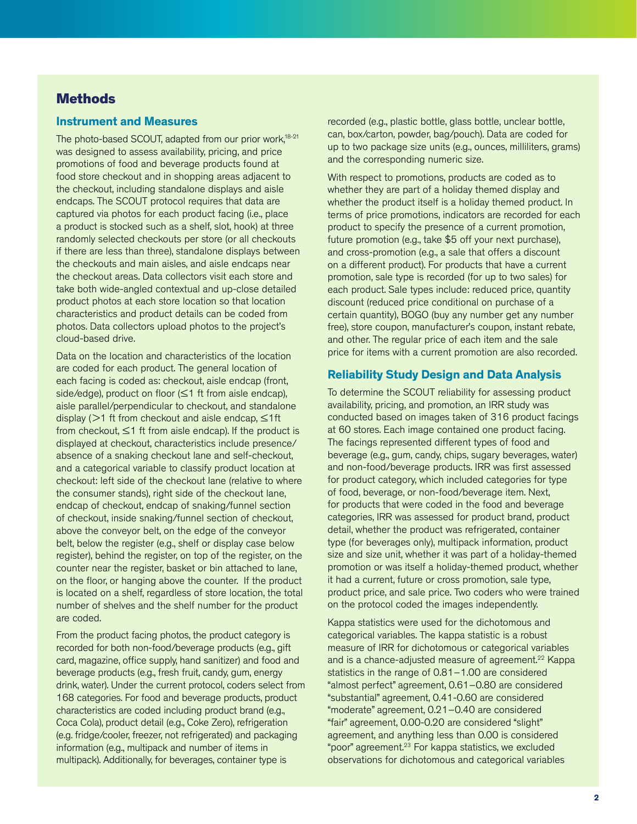## **Methods**

#### **Instrument and Measures**

The photo-based SCOUT, adapted from our prior work,<sup>18-21</sup> was designed to assess availability, pricing, and price promotions of food and beverage products found at food store checkout and in shopping areas adjacent to the checkout, including standalone displays and aisle endcaps. The SCOUT protocol requires that data are captured via photos for each product facing (i.e., place a product is stocked such as a shelf, slot, hook) at three randomly selected checkouts per store (or all checkouts if there are less than three), standalone displays between the checkouts and main aisles, and aisle endcaps near the checkout areas. Data collectors visit each store and take both wide-angled contextual and up-close detailed product photos at each store location so that location characteristics and product details can be coded from photos. Data collectors upload photos to the project's cloud-based drive.

Data on the location and characteristics of the location are coded for each product. The general location of each facing is coded as: checkout, aisle endcap (front, side/edge), product on floor (≤1 ft from aisle endcap), aisle parallel/perpendicular to checkout, and standalone display ( $>1$  ft from checkout and aisle endcap,  $\leq 1$ ft from checkout,  $\leq$ 1 ft from aisle endcap). If the product is displayed at checkout, characteristics include presence/ absence of a snaking checkout lane and self-checkout, and a categorical variable to classify product location at checkout: left side of the checkout lane (relative to where the consumer stands), right side of the checkout lane, endcap of checkout, endcap of snaking/funnel section of checkout, inside snaking/funnel section of checkout, above the conveyor belt, on the edge of the conveyor belt, below the register (e.g., shelf or display case below register), behind the register, on top of the register, on the counter near the register, basket or bin attached to lane, on the floor, or hanging above the counter. If the product is located on a shelf, regardless of store location, the total number of shelves and the shelf number for the product are coded.

From the product facing photos, the product category is recorded for both non-food/beverage products (e.g., gift card, magazine, office supply, hand sanitizer) and food and beverage products (e.g., fresh fruit, candy, gum, energy drink, water). Under the current protocol, coders select from 168 categories. For food and beverage products, product characteristics are coded including product brand (e.g., Coca Cola), product detail (e.g., Coke Zero), refrigeration (e.g. fridge/cooler, freezer, not refrigerated) and packaging information (e.g., multipack and number of items in multipack). Additionally, for beverages, container type is

recorded (e.g., plastic bottle, glass bottle, unclear bottle, can, box/carton, powder, bag/pouch). Data are coded for up to two package size units (e.g., ounces, milliliters, grams) and the corresponding numeric size.

With respect to promotions, products are coded as to whether they are part of a holiday themed display and whether the product itself is a holiday themed product. In terms of price promotions, indicators are recorded for each product to specify the presence of a current promotion, future promotion (e.g., take \$5 off your next purchase), and cross-promotion (e.g., a sale that offers a discount on a different product). For products that have a current promotion, sale type is recorded (for up to two sales) for each product. Sale types include: reduced price, quantity discount (reduced price conditional on purchase of a certain quantity), BOGO (buy any number get any number free), store coupon, manufacturer's coupon, instant rebate, and other. The regular price of each item and the sale price for items with a current promotion are also recorded.

#### **Reliability Study Design and Data Analysis**

To determine the SCOUT reliability for assessing product availability, pricing, and promotion, an IRR study was conducted based on images taken of 316 product facings at 60 stores. Each image contained one product facing. The facings represented different types of food and beverage (e.g., gum, candy, chips, sugary beverages, water) and non-food/beverage products. IRR was first assessed for product category, which included categories for type of food, beverage, or non-food/beverage item. Next, for products that were coded in the food and beverage categories, IRR was assessed for product brand, product detail, whether the product was refrigerated, container type (for beverages only), multipack information, product size and size unit, whether it was part of a holiday-themed promotion or was itself a holiday-themed product, whether it had a current, future or cross promotion, sale type, product price, and sale price. Two coders who were trained on the protocol coded the images independently.

Kappa statistics were used for the dichotomous and categorical variables. The kappa statistic is a robust measure of IRR for dichotomous or categorical variables and is a chance-adjusted measure of agreement.<sup>22</sup> Kappa statistics in the range of 0.81–1.00 are considered "almost perfect" agreement, 0.61–0.80 are considered "substantial" agreement, 0.41-0.60 are considered "moderate" agreement, 0.21–0.40 are considered "fair" agreement, 0.00-0.20 are considered "slight" agreement, and anything less than 0.00 is considered "poor" agreement.23 For kappa statistics, we excluded observations for dichotomous and categorical variables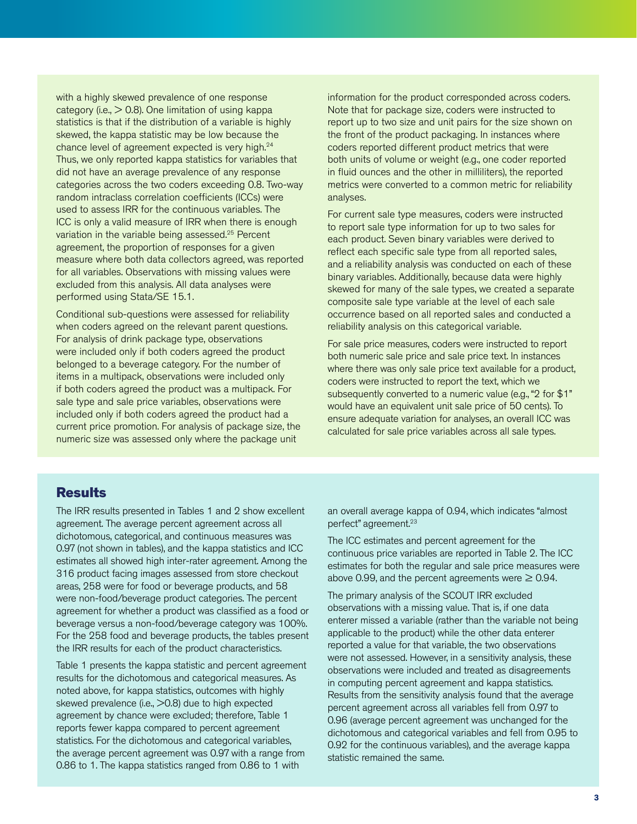with a highly skewed prevalence of one response category (i.e.,  $> 0.8$ ). One limitation of using kappa statistics is that if the distribution of a variable is highly skewed, the kappa statistic may be low because the chance level of agreement expected is very high.24 Thus, we only reported kappa statistics for variables that did not have an average prevalence of any response categories across the two coders exceeding 0.8. Two-way random intraclass correlation coefficients (ICCs) were used to assess IRR for the continuous variables. The ICC is only a valid measure of IRR when there is enough variation in the variable being assessed.<sup>25</sup> Percent agreement, the proportion of responses for a given measure where both data collectors agreed, was reported for all variables. Observations with missing values were excluded from this analysis. All data analyses were performed using Stata/SE 15.1.

Conditional sub-questions were assessed for reliability when coders agreed on the relevant parent questions. For analysis of drink package type, observations were included only if both coders agreed the product belonged to a beverage category. For the number of items in a multipack, observations were included only if both coders agreed the product was a multipack. For sale type and sale price variables, observations were included only if both coders agreed the product had a current price promotion. For analysis of package size, the numeric size was assessed only where the package unit

information for the product corresponded across coders. Note that for package size, coders were instructed to report up to two size and unit pairs for the size shown on the front of the product packaging. In instances where coders reported different product metrics that were both units of volume or weight (e.g., one coder reported in fluid ounces and the other in milliliters), the reported metrics were converted to a common metric for reliability analyses.

For current sale type measures, coders were instructed to report sale type information for up to two sales for each product. Seven binary variables were derived to reflect each specific sale type from all reported sales, and a reliability analysis was conducted on each of these binary variables. Additionally, because data were highly skewed for many of the sale types, we created a separate composite sale type variable at the level of each sale occurrence based on all reported sales and conducted a reliability analysis on this categorical variable.

For sale price measures, coders were instructed to report both numeric sale price and sale price text. In instances where there was only sale price text available for a product, coders were instructed to report the text, which we subsequently converted to a numeric value (e.g., "2 for \$1" would have an equivalent unit sale price of 50 cents). To ensure adequate variation for analyses, an overall ICC was calculated for sale price variables across all sale types.

## **Results**

The IRR results presented in Tables 1 and 2 show excellent agreement. The average percent agreement across all dichotomous, categorical, and continuous measures was 0.97 (not shown in tables), and the kappa statistics and ICC estimates all showed high inter-rater agreement. Among the 316 product facing images assessed from store checkout areas, 258 were for food or beverage products, and 58 were non-food/beverage product categories. The percent agreement for whether a product was classified as a food or beverage versus a non-food/beverage category was 100%. For the 258 food and beverage products, the tables present the IRR results for each of the product characteristics.

Table 1 presents the kappa statistic and percent agreement results for the dichotomous and categorical measures. As noted above, for kappa statistics, outcomes with highly skewed prevalence (i.e.,  $>0.8$ ) due to high expected agreement by chance were excluded; therefore, Table 1 reports fewer kappa compared to percent agreement statistics. For the dichotomous and categorical variables, the average percent agreement was 0.97 with a range from 0.86 to 1. The kappa statistics ranged from 0.86 to 1 with

an overall average kappa of 0.94, which indicates "almost perfect" agreement.23

The ICC estimates and percent agreement for the continuous price variables are reported in Table 2. The ICC estimates for both the regular and sale price measures were above 0.99, and the percent agreements were  $\geq$  0.94.

The primary analysis of the SCOUT IRR excluded observations with a missing value. That is, if one data enterer missed a variable (rather than the variable not being applicable to the product) while the other data enterer reported a value for that variable, the two observations were not assessed. However, in a sensitivity analysis, these observations were included and treated as disagreements in computing percent agreement and kappa statistics. Results from the sensitivity analysis found that the average percent agreement across all variables fell from 0.97 to 0.96 (average percent agreement was unchanged for the dichotomous and categorical variables and fell from 0.95 to 0.92 for the continuous variables), and the average kappa statistic remained the same.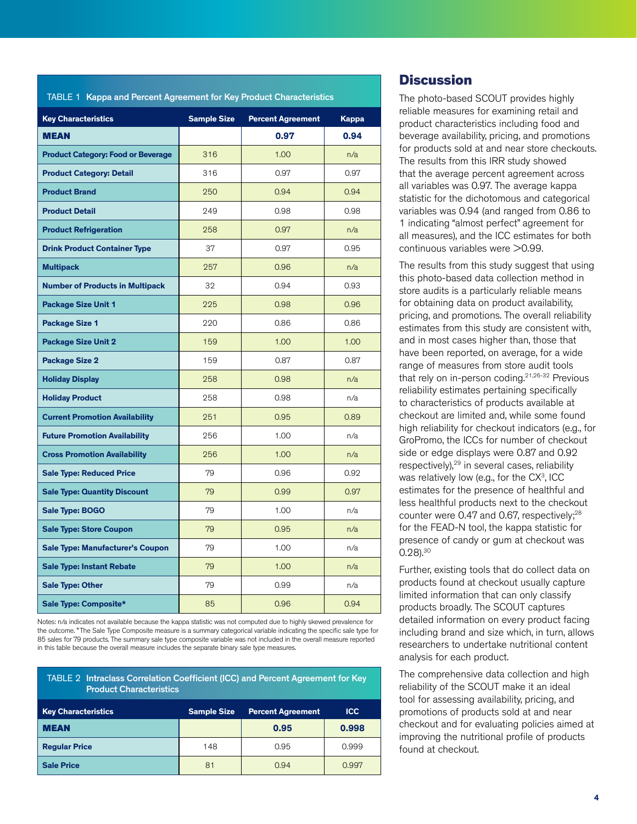| <b>CONTRACTOR</b>                         |                    |                          |              |
|-------------------------------------------|--------------------|--------------------------|--------------|
| <b>Key Characteristics</b>                | <b>Sample Size</b> | <b>Percent Agreement</b> | <b>Kappa</b> |
| <b>MEAN</b>                               |                    | 0.97                     | 0.94         |
| <b>Product Category: Food or Beverage</b> | 316                | 1.00                     | n/a          |
| <b>Product Category: Detail</b>           | 316                | 0.97                     | 0.97         |
| <b>Product Brand</b>                      | 250                | 0.94                     | 0.94         |
| <b>Product Detail</b>                     | 249                | 0.98                     | 0.98         |
| <b>Product Refrigeration</b>              | 258                | 0.97                     | n/a          |
| <b>Drink Product Container Type</b>       | 37                 | 0.97                     | 0.95         |
| <b>Multipack</b>                          | 257                | 0.96                     | n/a          |
| <b>Number of Products in Multipack</b>    | 32                 | 0.94                     | 0.93         |
| <b>Package Size Unit 1</b>                | 225                | 0.98                     | 0.96         |
| <b>Package Size 1</b>                     | 220                | 0.86                     | 0.86         |
| <b>Package Size Unit 2</b>                | 159                | 1.00                     | 1.00         |
| <b>Package Size 2</b>                     | 159                | 0.87                     | 0.87         |
| <b>Holiday Display</b>                    | 258                | 0.98                     | n/a          |
| <b>Holiday Product</b>                    | 258                | 0.98                     | n/a          |
| <b>Current Promotion Availability</b>     | 251                | 0.95                     | 0.89         |
| <b>Future Promotion Availability</b>      | 256                | 1.00                     | n/a          |
| <b>Cross Promotion Availability</b>       | 256                | 1.00                     | n/a          |
| <b>Sale Type: Reduced Price</b>           | 79                 | 0.96                     | 0.92         |
| <b>Sale Type: Quantity Discount</b>       | 79                 | 0.99                     | 0.97         |
| Sale Type: BOGO                           | 79                 | 1.00                     | n/a          |
| <b>Sale Type: Store Coupon</b>            | 79                 | 0.95                     | n/a          |
| <b>Sale Type: Manufacturer's Coupon</b>   | 79                 | 1.00                     | n/a          |
| <b>Sale Type: Instant Rebate</b>          | 79                 | 1.00                     | n/a          |
| <b>Sale Type: Other</b>                   | 79                 | 0.99                     | n/a          |
| Sale Type: Composite*                     | 85                 | 0.96                     | 0.94         |

TABLE 1 Kappa and Percent Agreement for Key Product Characteristics

Notes: n/a indicates not available because the kappa statistic was not computed due to highly skewed prevalence for the outcome. \*The Sale Type Composite measure is a summary categorical variable indicating the specific sale type for 85 sales for 79 products. The summary sale type composite variable was not included in the overall measure reported in this table because the overall measure includes the separate binary sale type measures.

| TABLE 2 Intraclass Correlation Coefficient (ICC) and Percent Agreement for Key |
|--------------------------------------------------------------------------------|
|                                                                                |

| <b>Key Characteristics</b> | <b>Sample Size</b> | <b>Percent Agreement</b> | <b>ICC</b> |
|----------------------------|--------------------|--------------------------|------------|
| <b>MEAN</b>                |                    | 0.95                     | 0.998      |
| <b>Regular Price</b>       | 148                | 0.95                     | 0.999      |
| <b>Sale Price</b>          | 81                 | 0.94                     | 0.997      |

## **Discussion**

The photo-based SCOUT provides highly reliable measures for examining retail and product characteristics including food and beverage availability, pricing, and promotions for products sold at and near store checkouts. The results from this IRR study showed that the average percent agreement across all variables was 0.97. The average kappa statistic for the dichotomous and categorical variables was 0.94 (and ranged from 0.86 to 1 indicating "almost perfect" agreement for all measures), and the ICC estimates for both continuous variables were  $>0.99$ .

The results from this study suggest that using this photo-based data collection method in store audits is a particularly reliable means for obtaining data on product availability, pricing, and promotions. The overall reliability estimates from this study are consistent with, and in most cases higher than, those that have been reported, on average, for a wide range of measures from store audit tools that rely on in-person coding.21,26-32 Previous reliability estimates pertaining specifically to characteristics of products available at checkout are limited and, while some found high reliability for checkout indicators (e.g., for GroPromo, the ICCs for number of checkout side or edge displays were 0.87 and 0.92 respectively),<sup>29</sup> in several cases, reliability was relatively low (e.g., for the  $CX<sup>3</sup>$ , ICC estimates for the presence of healthful and less healthful products next to the checkout counter were 0.47 and 0.67, respectively;<sup>28</sup> for the FEAD-N tool, the kappa statistic for presence of candy or gum at checkout was 0.28).30

Further, existing tools that do collect data on products found at checkout usually capture limited information that can only classify products broadly. The SCOUT captures detailed information on every product facing including brand and size which, in turn, allows researchers to undertake nutritional content analysis for each product.

The comprehensive data collection and high reliability of the SCOUT make it an ideal tool for assessing availability, pricing, and promotions of products sold at and near checkout and for evaluating policies aimed at improving the nutritional profile of products found at checkout.